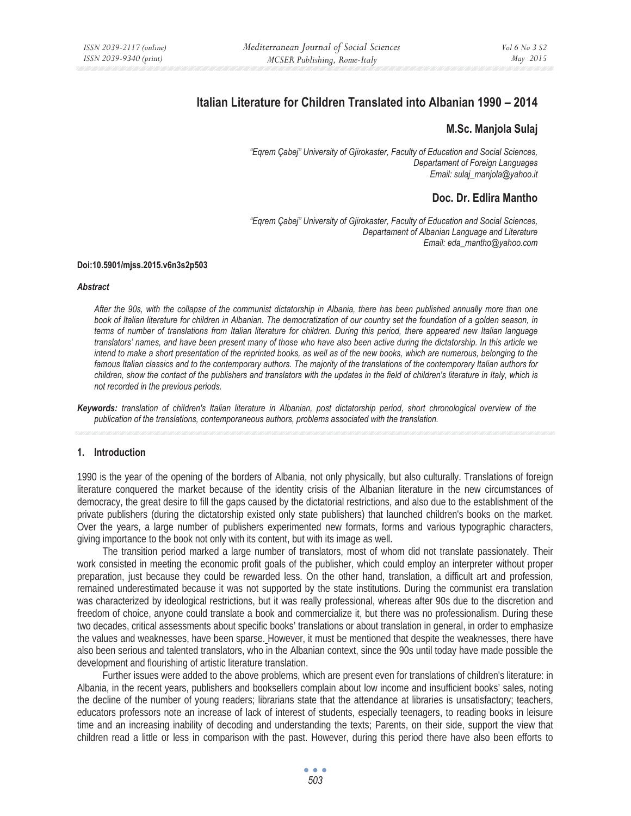# **Italian Literature for Children Translated into Albanian 1990 – 2014**

### **M.Sc. Manjola Sulaj**

*"Eqrem Çabej" University of Gjirokaster, Faculty of Education and Social Sciences, Departament of Foreign Languages Email: sulaj\_manjola@yahoo.it* 

## **Doc. Dr. Edlira Mantho**

*"Eqrem Çabej" University of Gjirokaster, Faculty of Education and Social Sciences, Departament of Albanian Language and Literature Email: eda\_mantho@yahoo.com* 

#### **Doi:10.5901/mjss.2015.v6n3s2p503**

#### *Abstract*

*After the 90s, with the collapse of the communist dictatorship in Albania, there has been published annually more than one book of Italian literature for children in Albanian. The democratization of our country set the foundation of a golden season, in terms of number of translations from Italian literature for children. During this period, there appeared new Italian language translators' names, and have been present many of those who have also been active during the dictatorship. In this article we intend to make a short presentation of the reprinted books, as well as of the new books, which are numerous, belonging to the famous Italian classics and to the contemporary authors. The majority of the translations of the contemporary Italian authors for children, show the contact of the publishers and translators with the updates in the field of children's literature in Italy, which is not recorded in the previous periods.* 

*Keywords: translation of children's Italian literature in Albanian, post dictatorship period, short chronological overview of the publication of the translations, contemporaneous authors, problems associated with the translation.* 

#### **1. Introduction**

1990 is the year of the opening of the borders of Albania, not only physically, but also culturally. Translations of foreign literature conquered the market because of the identity crisis of the Albanian literature in the new circumstances of democracy, the great desire to fill the gaps caused by the dictatorial restrictions, and also due to the establishment of the private publishers (during the dictatorship existed only state publishers) that launched children's books on the market. Over the years, a large number of publishers experimented new formats, forms and various typographic characters, giving importance to the book not only with its content, but with its image as well.

The transition period marked a large number of translators, most of whom did not translate passionately. Their work consisted in meeting the economic profit goals of the publisher, which could employ an interpreter without proper preparation, just because they could be rewarded less. On the other hand, translation, a difficult art and profession, remained underestimated because it was not supported by the state institutions. During the communist era translation was characterized by ideological restrictions, but it was really professional, whereas after 90s due to the discretion and freedom of choice, anyone could translate a book and commercialize it, but there was no professionalism. During these two decades, critical assessments about specific books' translations or about translation in general, in order to emphasize the values and weaknesses, have been sparse. However, it must be mentioned that despite the weaknesses, there have also been serious and talented translators, who in the Albanian context, since the 90s until today have made possible the development and flourishing of artistic literature translation.

Further issues were added to the above problems, which are present even for translations of children's literature: in Albania, in the recent years, publishers and booksellers complain about low income and insufficient books' sales, noting the decline of the number of young readers; librarians state that the attendance at libraries is unsatisfactory; teachers, educators professors note an increase of lack of interest of students, especially teenagers, to reading books in leisure time and an increasing inability of decoding and understanding the texts; Parents, on their side, support the view that children read a little or less in comparison with the past. However, during this period there have also been efforts to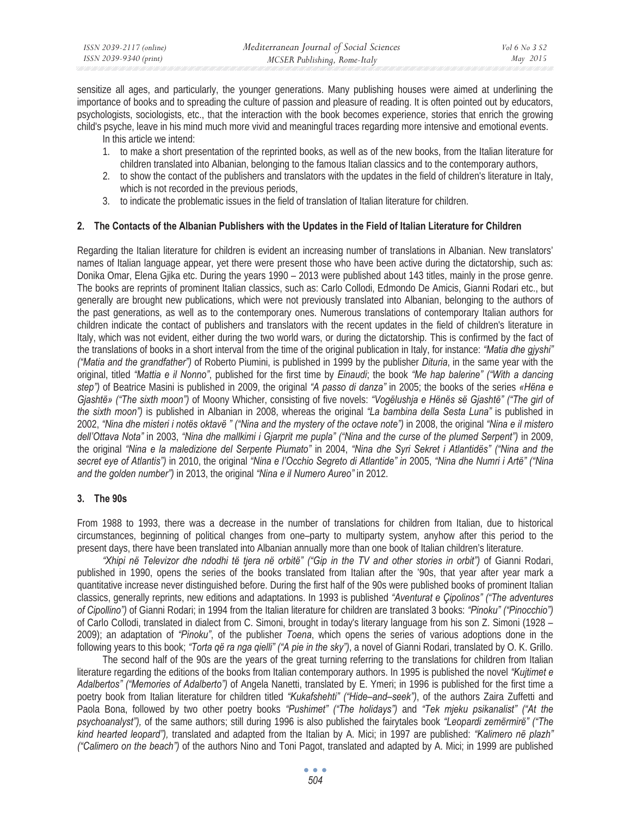sensitize all ages, and particularly, the younger generations. Many publishing houses were aimed at underlining the importance of books and to spreading the culture of passion and pleasure of reading. It is often pointed out by educators, psychologists, sociologists, etc., that the interaction with the book becomes experience, stories that enrich the growing child's psyche, leave in his mind much more vivid and meaningful traces regarding more intensive and emotional events.

In this article we intend:

- 1. to make a short presentation of the reprinted books, as well as of the new books, from the Italian literature for children translated into Albanian, belonging to the famous Italian classics and to the contemporary authors,
- 2. to show the contact of the publishers and translators with the updates in the field of children's literature in Italy, which is not recorded in the previous periods,
- 3. to indicate the problematic issues in the field of translation of Italian literature for children.

#### **2. The Contacts of the Albanian Publishers with the Updates in the Field of Italian Literature for Children**

Regarding the Italian literature for children is evident an increasing number of translations in Albanian. New translators' names of Italian language appear, yet there were present those who have been active during the dictatorship, such as: Donika Omar, Elena Gjika etc. During the years 1990 – 2013 were published about 143 titles, mainly in the prose genre. The books are reprints of prominent Italian classics, such as: Carlo Collodi, Edmondo De Amicis, Gianni Rodari etc., but generally are brought new publications, which were not previously translated into Albanian, belonging to the authors of the past generations, as well as to the contemporary ones. Numerous translations of contemporary Italian authors for children indicate the contact of publishers and translators with the recent updates in the field of children's literature in Italy, which was not evident, either during the two world wars, or during the dictatorship. This is confirmed by the fact of the translations of books in a short interval from the time of the original publication in Italy, for instance: *"Matia dhe gjyshi" ("Matia and the grandfather")* of Roberto Piumini, is published in 1999 by the publisher *Dituria*, in the same year with the original, titled *"Mattia e il Nonno"*, published for the first time by *Einaudi*; the book *"Me hap balerine" ("With a dancing step")* of Beatrice Masini is published in 2009, the original *"A passo di danza"* in 2005; the books of the series *«Hëna e Gjashtë» ("The sixth moon")* of Moony Whicher, consisting of five novels: *"Vogëlushja e Hënës së Gjashtë" ("The girl of the sixth moon")* is published in Albanian in 2008, whereas the original *"La bambina della Sesta Luna"* is published in 2002, *"Nina dhe misteri i notës oktavë " ("Nina and the mystery of the octave note")* in 2008, the original *"Nina e il mistero dell'Ottava Nota"* in 2003, *"Nina dhe mallkimi i Gjarprit me pupla" ("Nina and the curse of the plumed Serpent")* in 2009, the original *"Nina e la maledizione del Serpente Piumato"* in 2004, *"Nina dhe Syri Sekret i Atlantidës" ("Nina and the secret eye of Atlantis")* in 2010, the original *"Nina e l'Occhio Segreto di Atlantide" in* 2005, *"Nina dhe Numri i Artë" ("Nina and the golden number")* in 2013, the original *"Nina e il Numero Aureo"* in 2012.

#### **3. The 90s**

From 1988 to 1993, there was a decrease in the number of translations for children from Italian, due to historical circumstances, beginning of political changes from one–party to multiparty system, anyhow after this period to the present days, there have been translated into Albanian annually more than one book of Italian children's literature.

*"Xhipi në Televizor dhe ndodhi të tjera në orbitë" ("Gip in the TV and other stories in orbit")* of Gianni Rodari, published in 1990, opens the series of the books translated from Italian after the '90s, that year after year mark a quantitative increase never distinguished before. During the first half of the 90s were published books of prominent Italian classics, generally reprints, new editions and adaptations. In 1993 is published *"Aventurat e Çipolinos" ("The adventures of Cipollino")* of Gianni Rodari; in 1994 from the Italian literature for children are translated 3 books: *"Pinoku" ("Pinocchio")* of Carlo Collodi, translated in dialect from C. Simoni, brought in today's literary language from his son Z. Simoni (1928 – 2009); an adaptation of *"Pinoku"*, of the publisher *Toena*, which opens the series of various adoptions done in the following years to this book; *"Torta që ra nga qielli" ("A pie in the sky")*, a novel of Gianni Rodari, translated by O. K. Grillo.

The second half of the 90s are the years of the great turning referring to the translations for children from Italian literature regarding the editions of the books from Italian contemporary authors. In 1995 is published the novel *"Kujtimet e Adalbertos" ("Memories of Adalberto")* of Angela Nanetti, translated by E. Ymeri; in 1996 is published for the first time a poetry book from Italian literature for children titled *"Kukafshehti" ("Hide–and–seek")*, of the authors Zaira Zuffetti and Paola Bona, followed by two other poetry books *"Pushimet" ("The holidays")* and *"Tek mjeku psikanalist" ("At the psychoanalyst"),* of the same authors; still during 1996 is also published the fairytales book *"Leopardi zemërmirë" ("The kind hearted leopard"),* translated and adapted from the Italian by A. Mici; in 1997 are published: *"Kalimero në plazh" ("Calimero on the beach")* of the authors Nino and Toni Pagot, translated and adapted by A. Mici; in 1999 are published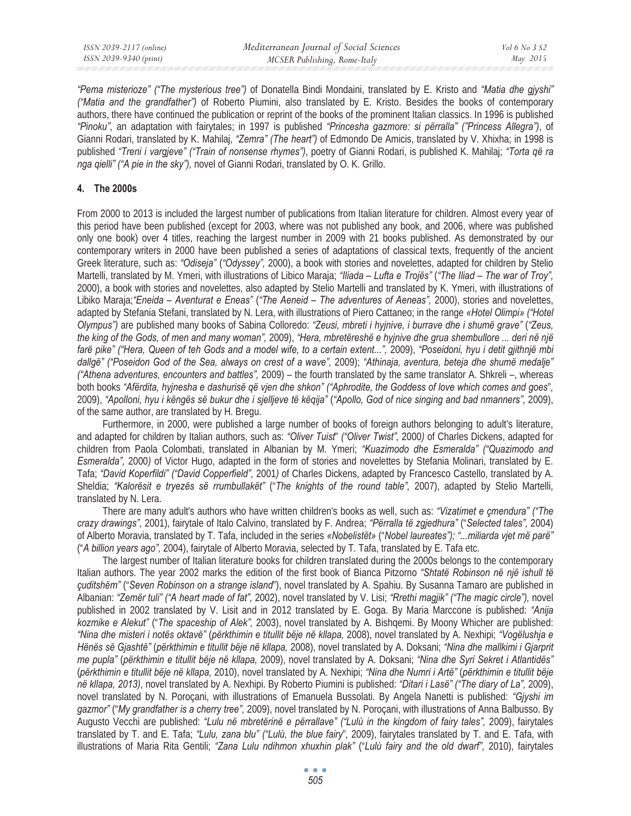| ISSN 2039-2117 (online) | Mediterranean Journal of Social Sciences | Vol 6 No 3 S2 |
|-------------------------|------------------------------------------|---------------|
| ISSN 2039-9340 (print)  | MCSER Publishing, Rome-Italy             | May 2015      |

*"Pema misterioze" ("The mysterious tree")* of Donatella Bindi Mondaini, translated by E. Kristo and *"Matia dhe gjyshi" ("Matia and the grandfather")* of Roberto Piumini, also translated by E. Kristo. Besides the books of contemporary authors, there have continued the publication or reprint of the books of the prominent Italian classics. In 1996 is published *"Pinoku"*, an adaptation with fairytales; in 1997 is published *"Princesha gazmore: si përralla" ("Princess Allegra")*, of Gianni Rodari, translated by K. Mahilaj, *"Zemra" (The heart")* of Edmondo De Amicis, translated by V. Xhixha; in 1998 is published *"Treni i vargjeve" ("Train of nonsense rhymes")*, poetry of Gianni Rodari, is published K. Mahilaj; *"Torta që ra nga qielli" ("A pie in the sky"),* novel of Gianni Rodari, translated by O. K. Grillo.

### **4. The 2000s**

From 2000 to 2013 is included the largest number of publications from Italian literature for children. Almost every year of this period have been published (except for 2003, where was not published any book, and 2006, where was published only one book) over 4 titles, reaching the largest number in 2009 with 21 books published. As demonstrated by our contemporary writers in 2000 have been published a series of adaptations of classical texts, frequently of the ancient Greek literature, such as: *"Odiseja"* (*"Odyssey",* 2000), a book with stories and novelettes, adapted for children by Stelio Martelli, translated by M. Ymeri, with illustrations of Libico Maraja; *"Iliada – Lufta e Trojës"* (*"The Iliad – The war of Troy",*  2000), a book with stories and novelettes, also adapted by Stelio Martelli and translated by K. Ymeri, with illustrations of Libiko Maraja;*"Eneida – Aventurat e Eneas"* (*"The Aeneid – The adventures of Aeneas",* 2000), stories and novelettes, adapted by Stefania Stefani, translated by N. Lera, with illustrations of Piero Cattaneo; in the range *«Hotel Olimpi» ("Hotel Olympus")* are published many books of Sabina Colloredo: *"Zeusi, mbreti i hyjnive, i burrave dhe i shumë grave"* (*"Zeus, the king of the Gods, of men and many woman",* 2009), *"Hera, mbretëreshë e hyjnive dhe grua shembullore ... deri në një*  farë pike" ("Hera, Queen of teh Gods and a model wife, to a certain extent...", 2009), "Poseidoni, hyu i detit gjithnjë mbi *dallgë" ("Poseidon God of the Sea, always on crest of a wave",* 2009); *"Athinaja, aventura, beteja dhe shumë medalje" ("Athena adventures, encounters and battles",* 2009) – the fourth translated by the same translator A. Shkreli –, whereas both books *"Afërdita, hyjnesha e dashurisë që vjen dhe shkon" ("Aphrodite, the Goddess of love which comes and goes*"*,*  2009), *"Apolloni, hyu i këngës së bukur dhe i sjelljeve të këqija"* (*"Apollo, God of nice singing and bad nmanners",* 2009), of the same author, are translated by H. Bregu.

Furthermore, in 2000, were published a large number of books of foreign authors belonging to adult's literature, and adapted for children by Italian authors, such as: *"Oliver Tuist*" *("Oliver Twist",* 2000*)* of Charles Dickens, adapted for children from Paola Colombati, translated in Albanian by M. Ymeri; *"Kuazimodo dhe Esmeralda" ("Quazimodo and Esmeralda",* 2000*)* of Victor Hugo, adapted in the form of stories and novelettes by Stefania Molinari, translated by E. Tafa; *"David Koperfildi" ("David Copperfield",* 2001*)* of Charles Dickens, adapted by Francesco Castello, translated by A. Sheldia; *"Kalorësit e tryezës së rrumbullakët"* ("*The knights of the round table",* 2007), adapted by Stelio Martelli, translated by N. Lera.

There are many adult's authors who have written children's books as well, such as: *"Vizatimet e çmendura" ("The crazy drawings",* 2001), fairytale of Italo Calvino, translated by F. Andrea; *"Përralla të zgjedhura"* ("*Selected tales",* 2004) of Alberto Moravia, translated by T. Tafa, included in the series *«Nobelistët»* ("*Nobel laureates"); "...miliarda vjet më parë"* ("*A billion years ago",* 2004), fairytale of Alberto Moravia, selected by T. Tafa, translated by E. Tafa etc.

The largest number of Italian literature books for children translated during the 2000s belongs to the contemporary Italian authors. The year 2002 marks the edition of the first book of Bianca Pitzorno *"Shtatë Robinson në një ishull të çuditshëm"* ("*Seven Robinson on a strange island*"), novel translated by A. Spahiu. By Susanna Tamaro are published in Albanian: *"Zemër tuli" ("A heart made of fat",* 2002), novel translated by V. Lisi; *"Rrethi magjik" ("The magic circle"),* novel published in 2002 translated by V. Lisit and in 2012 translated by E. Goga. By Maria Marccone is published: *"Anija kozmike e Alekut"* ("*The spaceship of Alek",* 2003), novel translated by A. Bishqemi. By Moony Whicher are published: *"Nina dhe misteri i notës oktavë"* (*përkthimin e titullit bëje në kllapa,* 2008), novel translated by A. Nexhipi; *"Vogëlushja e Hënës së Gjashtë"* (*përkthimin e titullit bëje në kllapa,* 2008), novel translated by A. Doksani; *"Nina dhe mallkimi i Gjarprit me pupla"* (*përkthimin e titullit bëje në kllapa,* 2009), novel translated by A. Doksani; *"Nina dhe Syri Sekret i Atlantidës"* (*përkthimin e titullit bëje në kllapa,* 2010), novel translated by A. Nexhipi; *"Nina dhe Numri i Artë"* (*përkthimin e titullit bëje në kllapa, 2013)*, novel translated by A. Nexhipi. By Roberto Piumini is published: *"Ditari i Lasë" ("The diary of La",* 2009), novel translated by N. Poroçani, with illustrations of Emanuela Bussolati. By Angela Nanetti is published: *"Gjyshi im gazmor"* ("*My grandfather is a cherry tree",* 2009), novel translated by N. Poroçani, with illustrations of Anna Balbusso. By Augusto Vecchi are published: *"Lulu në mbretërinë e përrallave" ("Lulù in the kingdom of fairy tales",* 2009), fairytales translated by T. and E. Tafa; *"Lulu, zana blu" ("Lulù, the blue fairy*"*,* 2009), fairytales translated by T. and E. Tafa, with illustrations of Maria Rita Gentili; *"Zana Lulu ndihmon xhuxhin plak"* ("*Lulù fairy and the old dwarf",* 2010), fairytales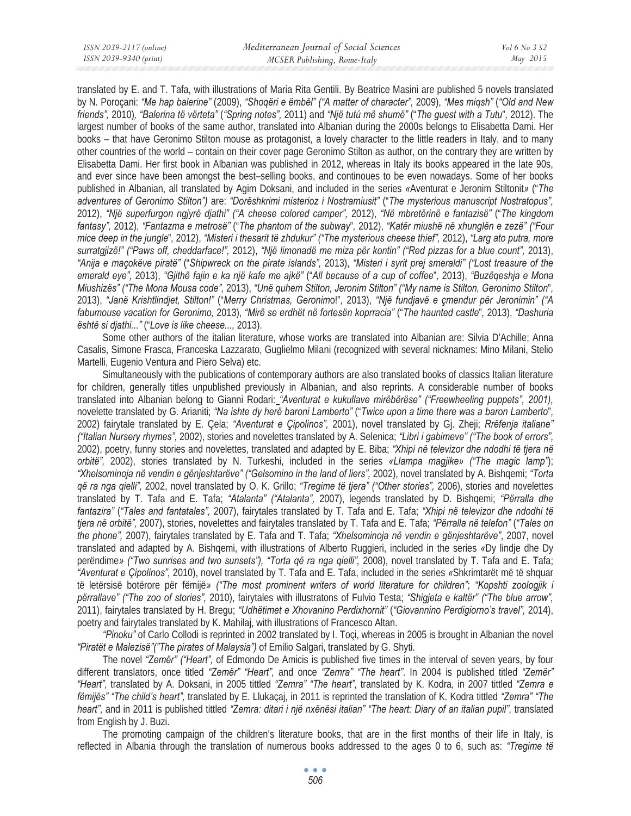translated by E. and T. Tafa, with illustrations of Maria Rita Gentili. By Beatrice Masini are published 5 novels translated by N. Poroçani: *"Me hap balerine"* (2009), *"Shoqëri e ëmbël" ("A matter of character",* 2009), *"Mes miqsh"* (*"Old and New friends",* 2010)*, "Balerina të vërteta"* (*"Spring notes",* 2011) and *"Një tutú më shumë"* ("*The guest with a Tutu*"*,* 2012). The largest number of books of the same author, translated into Albanian during the 2000s belongs to Elisabetta Dami. Her books – that have Geronimo Stilton mouse as protagonist, a lovely character to the little readers in Italy, and to many other countries of the world – contain on their cover page Geronimo Stilton as author, on the contrary they are written by Elisabetta Dami. Her first book in Albanian was published in 2012, whereas in Italy its books appeared in the late 90s, and ever since have been amongst the best–selling books, and continoues to be even nowadays. Some of her books published in Albanian, all translated by Agim Doksani, and included in the series *«*Aventurat e Jeronim Stiltonit*»* ("*The adventures of Geronimo Stilton")* are: *"Dorëshkrimi misterioz i Nostramiusit"* ("*The mysterious manuscript Nostratopus",*  2012), *"Një superfurgon ngjyrë djathi" ("A cheese colored camper",* 2012), *"Në mbretërinë e fantazisë"* ("*The kingdom fantasy",* 2012), *"Fantazma e metrosë"* ("*The phantom of the subway*"*,* 2012), *"Katër miushë në xhunglën e zezë" ("Four mice deep in the jungle*"*,* 2012), *"Misteri i thesarit të zhdukur" ("The mysterious cheese thief",* 2012), *"Larg ato putra, more surratgjizë!" ("Paws off, cheddarface!",* 2012), *"Një limonadë me miza për kontin" ("Red pizzas for a blue count",* 2013), *"Anija e maçokëve piratë"* ("*Shipwreck on the pirate islands",* 2013), *"Misteri i syrit prej smeraldi" ("Lost treasure of the emerald eye",* 2013), *"Gjithë fajin e ka një kafe me ajkë"* ("*All because of a cup of coffee*"*,* 2013), *"Buzëqeshja e Mona Miushizës" ("The Mona Mousa code",* 2013), *"Unë quhem Stilton, Jeronim Stilton" ("My name is Stilton, Geronimo Stilton*"*,*  2013), *"Janë Krishtlindjet, Stilton!"* ("*Merry Christmas, Geronim*o!"*,* 2013), *"Një fundjavë e çmendur për Jeronimin" ("A fabumouse vacation for Geronimo,* 2013), *"Mirë se erdhët në fortesën koprracia"* ("*The haunted castle*"*,* 2013), *"Dashuria është si djathi..."* ("*Love is like cheese...,* 2013).

Some other authors of the italian literature, whose works are translated into Albanian are: Silvia D'Achille; Anna Casalis, Simone Frasca, Franceska Lazzarato, Guglielmo Milani (recognized with several nicknames: Mino Milani, Stelio Martelli, Eugenio Ventura and Piero Selva) etc.

Simultaneously with the publications of contemporary authors are also translated books of classics Italian literature for children, generally titles unpublished previously in Albanian, and also reprints. A considerable number of books translated into Albanian belong to Gianni Rodari: *"Aventurat e kukullave mirëbërëse" ("Freewheeling puppets", 2001),* novelette translated by G. Arianiti; *"Na ishte dy herë baroni Lamberto"* ("*Twice upon a time there was a baron Lamberto*"*,*  2002) fairytale translated by E. Çela; *"Aventurat e Çipolinos",* 2001), novel translated by Gj. Zheji; *Rrëfenja italiane" ("Italian Nursery rhymes",* 2002), stories and novelettes translated by A. Selenica; *"Libri i gabimeve" ("The book of errors",*  2002), poetry, funny stories and novelettes, translated and adapted by E. Biba; *"Xhipi në televizor dhe ndodhi të tjera në orbitë",* 2002), stories translated by N. Turkeshi, included in the series *«Llampa magjike» ("The magic lamp"*); *"Xhelsominoja në vendin e gënjeshtarëve" ("Gelsomino in the land of liers",* 2002), novel translated by A. Bishqemi; *"Torta që ra nga qielli",* 2002, novel translated by O. K. Grillo; *"Tregime të tjera" ("Other stories",* 2006), stories and novelettes translated by T. Tafa and E. Tafa; *"Atalanta" ("Atalanta",* 2007), legends translated by D. Bishqemi; *"Përralla dhe fantazira"* (*"Tales and fantatales",* 2007), fairytales translated by T. Tafa and E. Tafa; *"Xhipi në televizor dhe ndodhi të tjera në orbitë",* 2007), stories, novelettes and fairytales translated by T. Tafa and E. Tafa; *"Përralla në telefon"* (*"Tales on the phone",* 2007), fairytales translated by E. Tafa and T. Tafa; *"Xhelsominoja në vendin e gënjeshtarëve"*, 2007, novel translated and adapted by A. Bishqemi, with illustrations of Alberto Ruggieri, included in the series *«*Dy lindje dhe Dy perëndime*» ("Two sunrises and two sunsets"), "Torta që ra nga qielli",* 2008), novel translated by T. Tafa and E. Tafa; *"Aventurat e Çipolinos",* 2010), novel translated by T. Tafa and E. Tafa, included in the series *«*Shkrimtarët më të shquar të letërsisë botërore për fëmijë*» ("The most prominent writers of world literature for children"*; *"Kopshti zoologjik i përrallave" ("The zoo of stories",* 2010), fairytales with illustratons of Fulvio Testa; *"Shigjeta e kaltër" ("The blue arrow",*  2011), fairytales translated by H. Bregu; *"Udhëtimet e Xhovanino Perdixhornit"* (*"Giovannino Perdigiorno's travel",* 2014), poetry and fairytales translated by K. Mahilaj, with illustrations of Francesco Altan.

*"Pinoku"* of Carlo Collodi is reprinted in 2002 translated by I. Toçi, whereas in 2005 is brought in Albanian the novel *"Piratët e Malezisë"("The pirates of Malaysia")* of Emilio Salgari, translated by G. Shyti.

The novel *"Zemër" ("Heart",* of Edmondo De Amicis is published five times in the interval of seven years, by four different translators, once titled *"Zemër" "Heart",* and once *"Zemra" "The heart"*. In 2004 is published titled *"Zemër" "Heart",* translated by A. Doksani, in 2005 tittled *"Zemra" "The heart",* translated by K. Kodra, in 2007 tittled *"Zemra e fëmijës" "The child's heart",* translated by E. Llukaçaj, in 2011 is reprinted the translation of K. Kodra tittled *"Zemra" "The heart",* and in 2011 is published tittled *"Zemra: ditari i një nxënësi italian" "The heart: Diary of an italian pupil",* translated from English by J. Buzi.

The promoting campaign of the children's literature books, that are in the first months of their life in Italy, is reflected in Albania through the translation of numerous books addressed to the ages 0 to 6, such as: *"Tregime të*